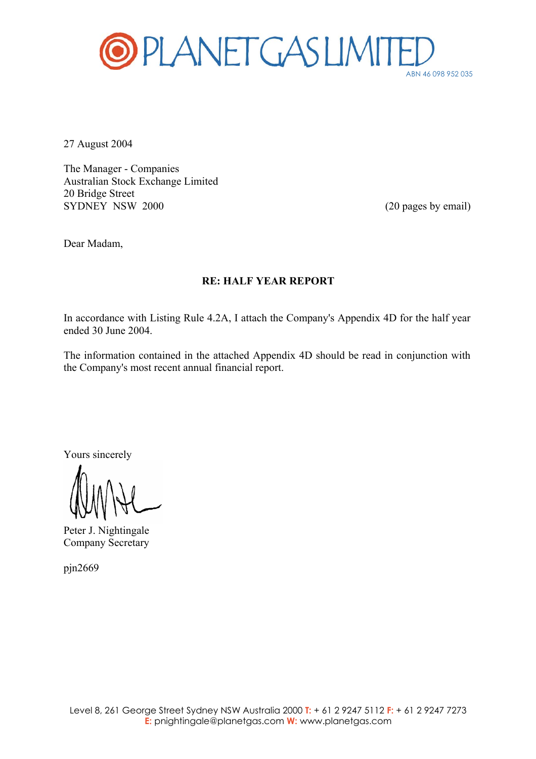

27 August 2004

The Manager - Companies Australian Stock Exchange Limited 20 Bridge Street SYDNEY NSW 2000 (20 pages by email)

Dear Madam,

## **RE: HALF YEAR REPORT**

In accordance with Listing Rule 4.2A, I attach the Company's Appendix 4D for the half year ended 30 June 2004.

The information contained in the attached Appendix 4D should be read in conjunction with the Company's most recent annual financial report.

Yours sincerely

Peter J. Nightingale Company Secretary

pjn2669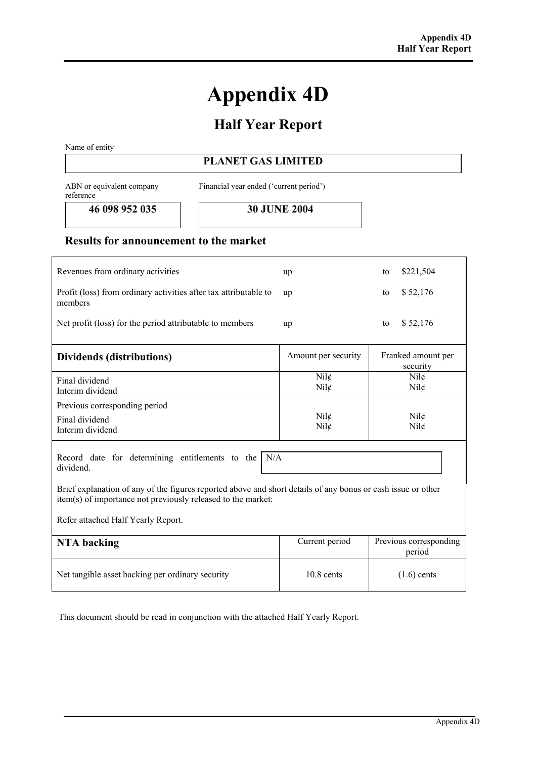## **Appendix 4D**

## **Half Year Report**

Name of entity

## **PLANET GAS LIMITED**

ABN or equivalent company reference

Financial year ended ('current period')

**46 098 952 035 30 JUNE 2004** 

## **Results for announcement to the market**

| Revenues from ordinary activities                                                                                                                                                                                                                                                        | up                  | \$221,504<br>to                  |  |
|------------------------------------------------------------------------------------------------------------------------------------------------------------------------------------------------------------------------------------------------------------------------------------------|---------------------|----------------------------------|--|
| Profit (loss) from ordinary activities after tax attributable to<br>members                                                                                                                                                                                                              | up                  | \$52,176<br>to                   |  |
| Net profit (loss) for the period attributable to members                                                                                                                                                                                                                                 | up                  | \$52,176<br>to                   |  |
| Dividends (distributions)                                                                                                                                                                                                                                                                | Amount per security | Franked amount per<br>security   |  |
| Final dividend<br>Interim dividend                                                                                                                                                                                                                                                       | Nil¢<br>Nil¢        | Nil<br>Nil                       |  |
| Previous corresponding period                                                                                                                                                                                                                                                            |                     |                                  |  |
| Final dividend                                                                                                                                                                                                                                                                           | $Nil\mathcal{L}$    | $Nil\ell$                        |  |
| Interim dividend                                                                                                                                                                                                                                                                         | Nil¢                | Nil¢                             |  |
| Record date for determining entitlements to the<br>N/A<br>dividend<br>Brief explanation of any of the figures reported above and short details of any bonus or cash issue or other<br>item(s) of importance not previously released to the market:<br>Refer attached Half Yearly Report. |                     |                                  |  |
| <b>NTA</b> backing                                                                                                                                                                                                                                                                       | Current period      | Previous corresponding<br>period |  |
| Net tangible asset backing per ordinary security                                                                                                                                                                                                                                         | $10.8$ cents        | $(1.6)$ cents                    |  |

This document should be read in conjunction with the attached Half Yearly Report.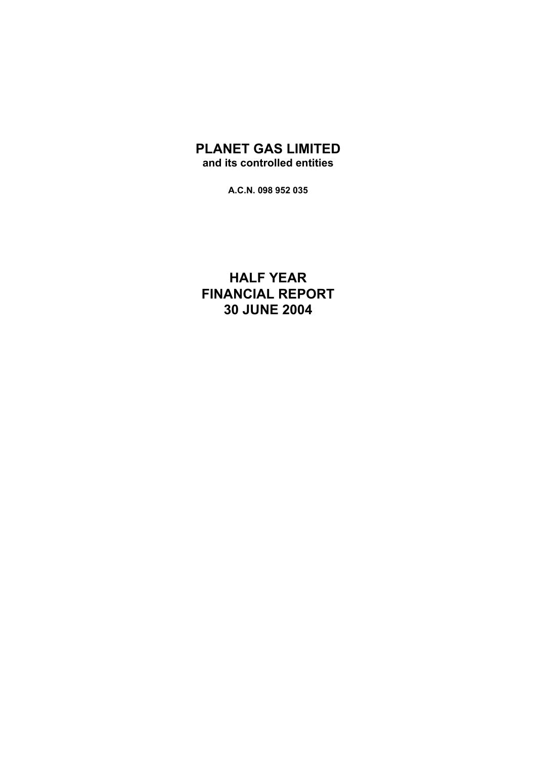## **PLANET GAS LIMITED and its controlled entities**

**A.C.N. 098 952 035** 

**HALF YEAR FINANCIAL REPORT 30 JUNE 2004**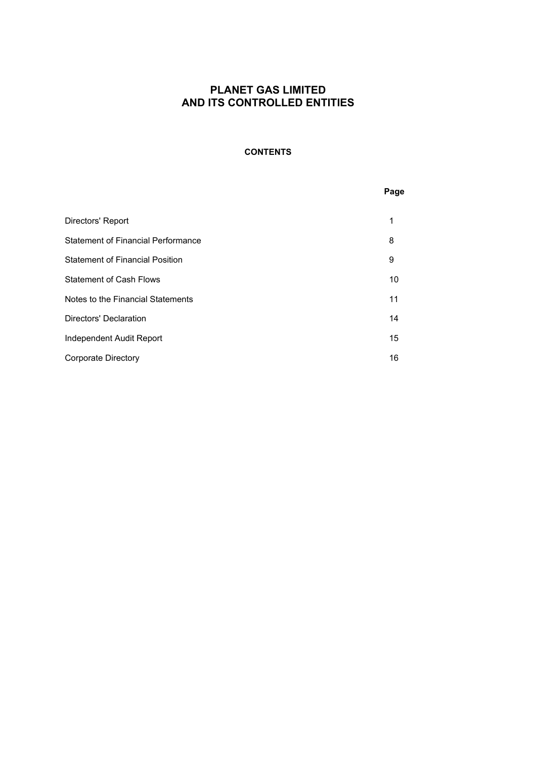## **CONTENTS**

#### **Page**

| Directors' Report                         |    |
|-------------------------------------------|----|
| <b>Statement of Financial Performance</b> | 8  |
| <b>Statement of Financial Position</b>    | 9  |
| <b>Statement of Cash Flows</b>            | 10 |
| Notes to the Financial Statements         | 11 |
| Directors' Declaration                    | 14 |
| Independent Audit Report                  | 15 |
| Corporate Directory                       | 16 |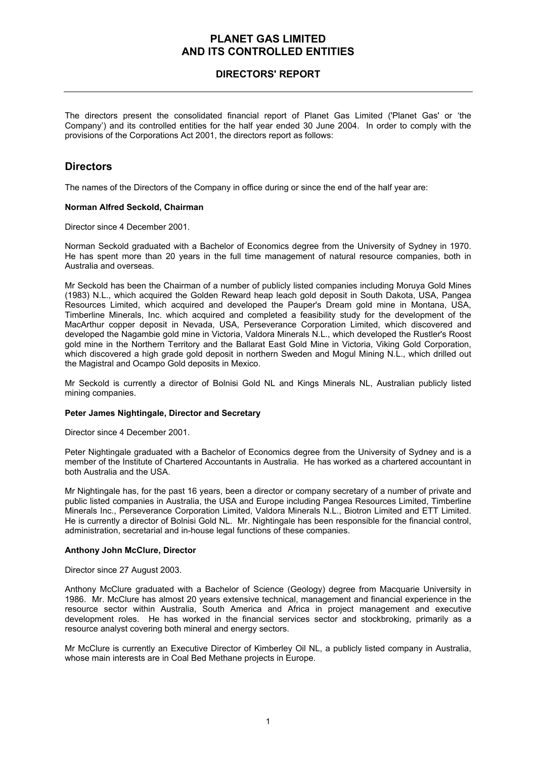## **DIRECTORS' REPORT**

The directors present the consolidated financial report of Planet Gas Limited ('Planet Gas' or 'the Company') and its controlled entities for the half year ended 30 June 2004. In order to comply with the provisions of the Corporations Act 2001, the directors report as follows:

## **Directors**

The names of the Directors of the Company in office during or since the end of the half year are:

#### **Norman Alfred Seckold, Chairman**

Director since 4 December 2001.

Norman Seckold graduated with a Bachelor of Economics degree from the University of Sydney in 1970. He has spent more than 20 years in the full time management of natural resource companies, both in Australia and overseas.

Mr Seckold has been the Chairman of a number of publicly listed companies including Moruya Gold Mines (1983) N.L., which acquired the Golden Reward heap leach gold deposit in South Dakota, USA, Pangea Resources Limited, which acquired and developed the Pauper's Dream gold mine in Montana, USA, Timberline Minerals, Inc. which acquired and completed a feasibility study for the development of the MacArthur copper deposit in Nevada, USA, Perseverance Corporation Limited, which discovered and developed the Nagambie gold mine in Victoria, Valdora Minerals N.L., which developed the Rustler's Roost gold mine in the Northern Territory and the Ballarat East Gold Mine in Victoria, Viking Gold Corporation, which discovered a high grade gold deposit in northern Sweden and Mogul Mining N.L., which drilled out the Magistral and Ocampo Gold deposits in Mexico.

Mr Seckold is currently a director of Bolnisi Gold NL and Kings Minerals NL, Australian publicly listed mining companies.

#### **Peter James Nightingale, Director and Secretary**

Director since 4 December 2001.

Peter Nightingale graduated with a Bachelor of Economics degree from the University of Sydney and is a member of the Institute of Chartered Accountants in Australia. He has worked as a chartered accountant in both Australia and the USA.

Mr Nightingale has, for the past 16 years, been a director or company secretary of a number of private and public listed companies in Australia, the USA and Europe including Pangea Resources Limited, Timberline Minerals Inc., Perseverance Corporation Limited, Valdora Minerals N.L., Biotron Limited and ETT Limited. He is currently a director of Bolnisi Gold NL. Mr. Nightingale has been responsible for the financial control, administration, secretarial and in-house legal functions of these companies.

#### **Anthony John McClure, Director**

Director since 27 August 2003.

Anthony McClure graduated with a Bachelor of Science (Geology) degree from Macquarie University in 1986. Mr. McClure has almost 20 years extensive technical, management and financial experience in the resource sector within Australia, South America and Africa in project management and executive development roles. He has worked in the financial services sector and stockbroking, primarily as a resource analyst covering both mineral and energy sectors.

Mr McClure is currently an Executive Director of Kimberley Oil NL, a publicly listed company in Australia, whose main interests are in Coal Bed Methane projects in Europe.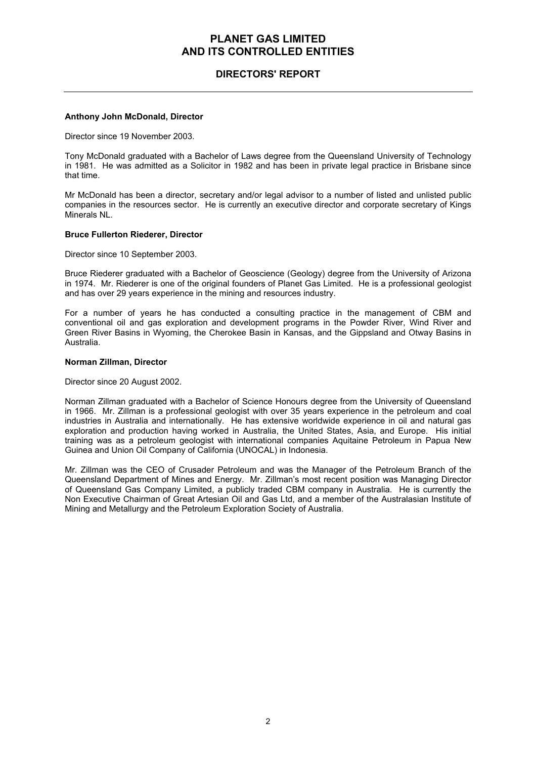## **DIRECTORS' REPORT**

#### **Anthony John McDonald, Director**

Director since 19 November 2003.

Tony McDonald graduated with a Bachelor of Laws degree from the Queensland University of Technology in 1981. He was admitted as a Solicitor in 1982 and has been in private legal practice in Brisbane since that time.

Mr McDonald has been a director, secretary and/or legal advisor to a number of listed and unlisted public companies in the resources sector. He is currently an executive director and corporate secretary of Kings Minerals NL.

#### **Bruce Fullerton Riederer, Director**

Director since 10 September 2003.

Bruce Riederer graduated with a Bachelor of Geoscience (Geology) degree from the University of Arizona in 1974. Mr. Riederer is one of the original founders of Planet Gas Limited. He is a professional geologist and has over 29 years experience in the mining and resources industry.

For a number of years he has conducted a consulting practice in the management of CBM and conventional oil and gas exploration and development programs in the Powder River, Wind River and Green River Basins in Wyoming, the Cherokee Basin in Kansas, and the Gippsland and Otway Basins in Australia.

#### **Norman Zillman, Director**

Director since 20 August 2002.

Norman Zillman graduated with a Bachelor of Science Honours degree from the University of Queensland in 1966. Mr. Zillman is a professional geologist with over 35 years experience in the petroleum and coal industries in Australia and internationally. He has extensive worldwide experience in oil and natural gas exploration and production having worked in Australia, the United States, Asia, and Europe. His initial training was as a petroleum geologist with international companies Aquitaine Petroleum in Papua New Guinea and Union Oil Company of California (UNOCAL) in Indonesia.

Mr. Zillman was the CEO of Crusader Petroleum and was the Manager of the Petroleum Branch of the Queensland Department of Mines and Energy. Mr. Zillman's most recent position was Managing Director of Queensland Gas Company Limited, a publicly traded CBM company in Australia. He is currently the Non Executive Chairman of Great Artesian Oil and Gas Ltd, and a member of the Australasian Institute of Mining and Metallurgy and the Petroleum Exploration Society of Australia.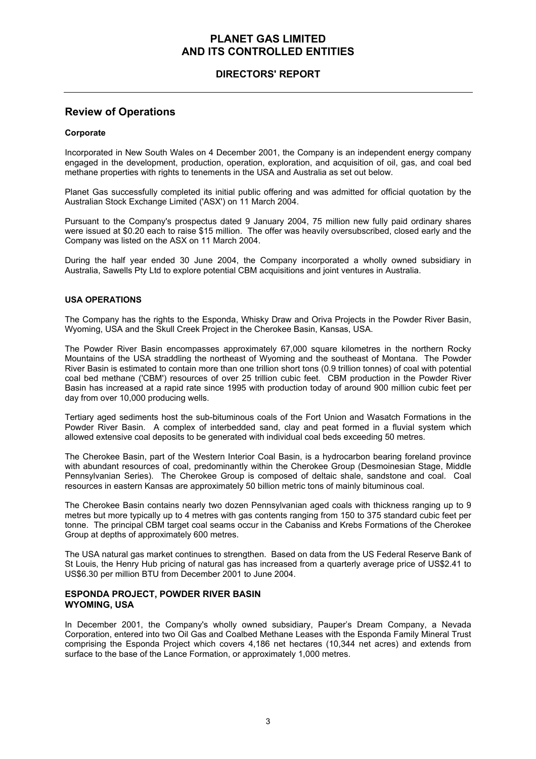## **DIRECTORS' REPORT**

## **Review of Operations**

#### **Corporate**

Incorporated in New South Wales on 4 December 2001, the Company is an independent energy company engaged in the development, production, operation, exploration, and acquisition of oil, gas, and coal bed methane properties with rights to tenements in the USA and Australia as set out below.

Planet Gas successfully completed its initial public offering and was admitted for official quotation by the Australian Stock Exchange Limited ('ASX') on 11 March 2004.

Pursuant to the Company's prospectus dated 9 January 2004, 75 million new fully paid ordinary shares were issued at \$0.20 each to raise \$15 million. The offer was heavily oversubscribed, closed early and the Company was listed on the ASX on 11 March 2004.

During the half year ended 30 June 2004, the Company incorporated a wholly owned subsidiary in Australia, Sawells Pty Ltd to explore potential CBM acquisitions and joint ventures in Australia.

#### **USA OPERATIONS**

The Company has the rights to the Esponda, Whisky Draw and Oriva Projects in the Powder River Basin, Wyoming, USA and the Skull Creek Project in the Cherokee Basin, Kansas, USA.

The Powder River Basin encompasses approximately 67,000 square kilometres in the northern Rocky Mountains of the USA straddling the northeast of Wyoming and the southeast of Montana. The Powder River Basin is estimated to contain more than one trillion short tons (0.9 trillion tonnes) of coal with potential coal bed methane ('CBM') resources of over 25 trillion cubic feet. CBM production in the Powder River Basin has increased at a rapid rate since 1995 with production today of around 900 million cubic feet per day from over 10,000 producing wells.

Tertiary aged sediments host the sub-bituminous coals of the Fort Union and Wasatch Formations in the Powder River Basin. A complex of interbedded sand, clay and peat formed in a fluvial system which allowed extensive coal deposits to be generated with individual coal beds exceeding 50 metres.

The Cherokee Basin, part of the Western Interior Coal Basin, is a hydrocarbon bearing foreland province with abundant resources of coal, predominantly within the Cherokee Group (Desmoinesian Stage, Middle Pennsylvanian Series). The Cherokee Group is composed of deltaic shale, sandstone and coal. Coal resources in eastern Kansas are approximately 50 billion metric tons of mainly bituminous coal.

The Cherokee Basin contains nearly two dozen Pennsylvanian aged coals with thickness ranging up to 9 metres but more typically up to 4 metres with gas contents ranging from 150 to 375 standard cubic feet per tonne. The principal CBM target coal seams occur in the Cabaniss and Krebs Formations of the Cherokee Group at depths of approximately 600 metres.

The USA natural gas market continues to strengthen. Based on data from the US Federal Reserve Bank of St Louis, the Henry Hub pricing of natural gas has increased from a quarterly average price of US\$2.41 to US\$6.30 per million BTU from December 2001 to June 2004.

#### **ESPONDA PROJECT, POWDER RIVER BASIN WYOMING, USA**

In December 2001, the Company's wholly owned subsidiary, Pauper's Dream Company, a Nevada Corporation, entered into two Oil Gas and Coalbed Methane Leases with the Esponda Family Mineral Trust comprising the Esponda Project which covers 4,186 net hectares (10,344 net acres) and extends from surface to the base of the Lance Formation, or approximately 1,000 metres.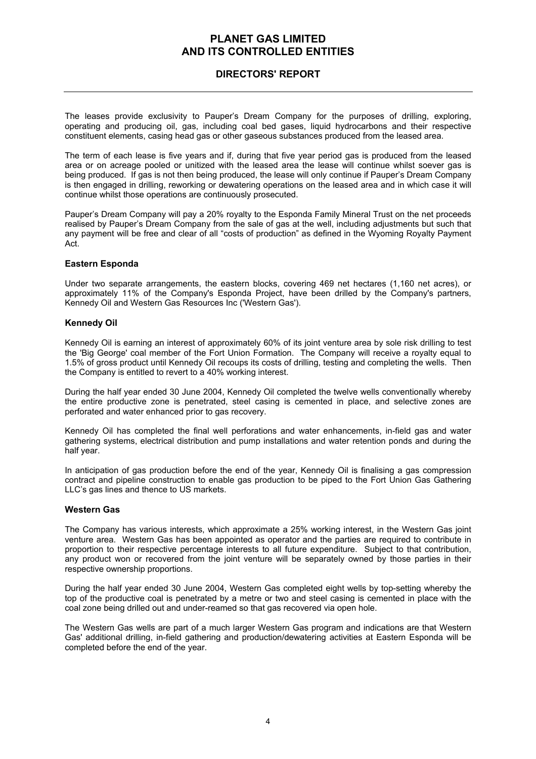## **DIRECTORS' REPORT**

The leases provide exclusivity to Pauper's Dream Company for the purposes of drilling, exploring, operating and producing oil, gas, including coal bed gases, liquid hydrocarbons and their respective constituent elements, casing head gas or other gaseous substances produced from the leased area.

The term of each lease is five years and if, during that five year period gas is produced from the leased area or on acreage pooled or unitized with the leased area the lease will continue whilst soever gas is being produced. If gas is not then being produced, the lease will only continue if Pauper's Dream Company is then engaged in drilling, reworking or dewatering operations on the leased area and in which case it will continue whilst those operations are continuously prosecuted.

Pauper's Dream Company will pay a 20% royalty to the Esponda Family Mineral Trust on the net proceeds realised by Pauper's Dream Company from the sale of gas at the well, including adjustments but such that any payment will be free and clear of all "costs of production" as defined in the Wyoming Royalty Payment Act.

#### **Eastern Esponda**

Under two separate arrangements, the eastern blocks, covering 469 net hectares (1,160 net acres), or approximately 11% of the Company's Esponda Project, have been drilled by the Company's partners, Kennedy Oil and Western Gas Resources Inc ('Western Gas').

#### **Kennedy Oil**

Kennedy Oil is earning an interest of approximately 60% of its joint venture area by sole risk drilling to test the 'Big George' coal member of the Fort Union Formation. The Company will receive a royalty equal to 1.5% of gross product until Kennedy Oil recoups its costs of drilling, testing and completing the wells. Then the Company is entitled to revert to a 40% working interest.

During the half year ended 30 June 2004, Kennedy Oil completed the twelve wells conventionally whereby the entire productive zone is penetrated, steel casing is cemented in place, and selective zones are perforated and water enhanced prior to gas recovery.

Kennedy Oil has completed the final well perforations and water enhancements, in-field gas and water gathering systems, electrical distribution and pump installations and water retention ponds and during the half year.

In anticipation of gas production before the end of the year, Kennedy Oil is finalising a gas compression contract and pipeline construction to enable gas production to be piped to the Fort Union Gas Gathering LLC's gas lines and thence to US markets.

#### **Western Gas**

The Company has various interests, which approximate a 25% working interest, in the Western Gas joint venture area. Western Gas has been appointed as operator and the parties are required to contribute in proportion to their respective percentage interests to all future expenditure. Subject to that contribution, any product won or recovered from the joint venture will be separately owned by those parties in their respective ownership proportions.

During the half year ended 30 June 2004, Western Gas completed eight wells by top-setting whereby the top of the productive coal is penetrated by a metre or two and steel casing is cemented in place with the coal zone being drilled out and under-reamed so that gas recovered via open hole.

The Western Gas wells are part of a much larger Western Gas program and indications are that Western Gas' additional drilling, in-field gathering and production/dewatering activities at Eastern Esponda will be completed before the end of the year.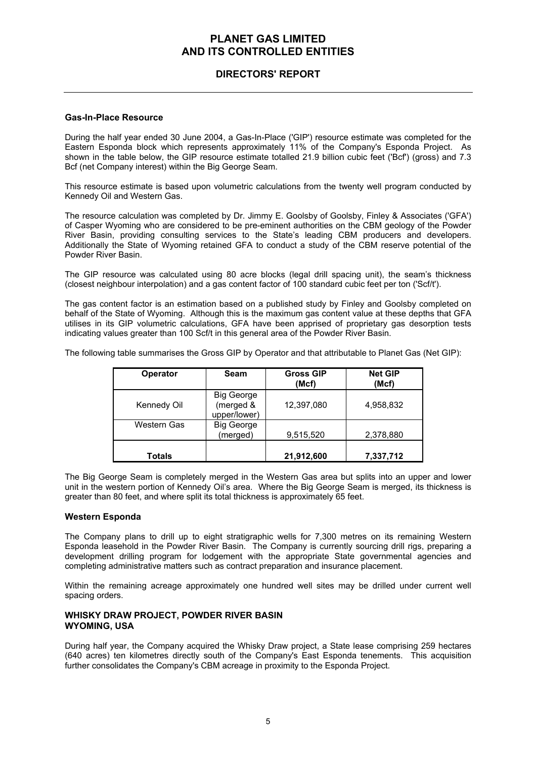## **DIRECTORS' REPORT**

#### **Gas-In-Place Resource**

During the half year ended 30 June 2004, a Gas-In-Place ('GIP') resource estimate was completed for the Eastern Esponda block which represents approximately 11% of the Company's Esponda Project. As shown in the table below, the GIP resource estimate totalled 21.9 billion cubic feet ('Bcf') (gross) and 7.3 Bcf (net Company interest) within the Big George Seam.

This resource estimate is based upon volumetric calculations from the twenty well program conducted by Kennedy Oil and Western Gas.

The resource calculation was completed by Dr. Jimmy E. Goolsby of Goolsby, Finley & Associates ('GFA') of Casper Wyoming who are considered to be pre-eminent authorities on the CBM geology of the Powder River Basin, providing consulting services to the State's leading CBM producers and developers. Additionally the State of Wyoming retained GFA to conduct a study of the CBM reserve potential of the Powder River Basin.

The GIP resource was calculated using 80 acre blocks (legal drill spacing unit), the seam's thickness (closest neighbour interpolation) and a gas content factor of 100 standard cubic feet per ton ('Scf/t').

The gas content factor is an estimation based on a published study by Finley and Goolsby completed on behalf of the State of Wyoming. Although this is the maximum gas content value at these depths that GFA utilises in its GIP volumetric calculations, GFA have been apprised of proprietary gas desorption tests indicating values greater than 100 Scf/t in this general area of the Powder River Basin.

The following table summarises the Gross GIP by Operator and that attributable to Planet Gas (Net GIP):

| <b>Operator</b> | Seam                                           | <b>Gross GIP</b><br>(Mcf) | <b>Net GIP</b><br>(Mcf) |
|-----------------|------------------------------------------------|---------------------------|-------------------------|
| Kennedy Oil     | <b>Big George</b><br>(merged &<br>upper/lower) | 12,397,080                | 4,958,832               |
| Western Gas     | <b>Big George</b><br>(merged)                  | 9,515,520                 | 2,378,880               |
| Totals          |                                                | 21,912,600                | 7,337,712               |

The Big George Seam is completely merged in the Western Gas area but splits into an upper and lower unit in the western portion of Kennedy Oil's area. Where the Big George Seam is merged, its thickness is greater than 80 feet, and where split its total thickness is approximately 65 feet.

#### **Western Esponda**

The Company plans to drill up to eight stratigraphic wells for 7,300 metres on its remaining Western Esponda leasehold in the Powder River Basin. The Company is currently sourcing drill rigs, preparing a development drilling program for lodgement with the appropriate State governmental agencies and completing administrative matters such as contract preparation and insurance placement.

Within the remaining acreage approximately one hundred well sites may be drilled under current well spacing orders.

#### **WHISKY DRAW PROJECT, POWDER RIVER BASIN WYOMING, USA**

During half year, the Company acquired the Whisky Draw project, a State lease comprising 259 hectares (640 acres) ten kilometres directly south of the Company's East Esponda tenements. This acquisition further consolidates the Company's CBM acreage in proximity to the Esponda Project.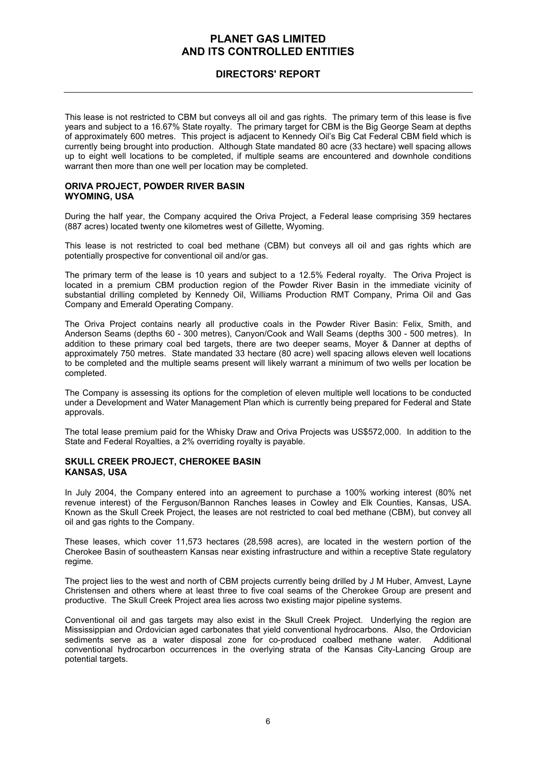## **DIRECTORS' REPORT**

This lease is not restricted to CBM but conveys all oil and gas rights. The primary term of this lease is five years and subject to a 16.67% State royalty. The primary target for CBM is the Big George Seam at depths of approximately 600 metres. This project is adjacent to Kennedy Oil's Big Cat Federal CBM field which is currently being brought into production. Although State mandated 80 acre (33 hectare) well spacing allows up to eight well locations to be completed, if multiple seams are encountered and downhole conditions warrant then more than one well per location may be completed.

#### **ORIVA PROJECT, POWDER RIVER BASIN WYOMING, USA**

During the half year, the Company acquired the Oriva Project, a Federal lease comprising 359 hectares (887 acres) located twenty one kilometres west of Gillette, Wyoming.

This lease is not restricted to coal bed methane (CBM) but conveys all oil and gas rights which are potentially prospective for conventional oil and/or gas.

The primary term of the lease is 10 years and subject to a 12.5% Federal royalty. The Oriva Project is located in a premium CBM production region of the Powder River Basin in the immediate vicinity of substantial drilling completed by Kennedy Oil, Williams Production RMT Company, Prima Oil and Gas Company and Emerald Operating Company.

The Oriva Project contains nearly all productive coals in the Powder River Basin: Felix, Smith, and Anderson Seams (depths 60 - 300 metres), Canyon/Cook and Wall Seams (depths 300 - 500 metres). In addition to these primary coal bed targets, there are two deeper seams, Moyer & Danner at depths of approximately 750 metres. State mandated 33 hectare (80 acre) well spacing allows eleven well locations to be completed and the multiple seams present will likely warrant a minimum of two wells per location be completed.

The Company is assessing its options for the completion of eleven multiple well locations to be conducted under a Development and Water Management Plan which is currently being prepared for Federal and State approvals.

The total lease premium paid for the Whisky Draw and Oriva Projects was US\$572,000. In addition to the State and Federal Royalties, a 2% overriding royalty is payable.

#### **SKULL CREEK PROJECT, CHEROKEE BASIN KANSAS, USA**

In July 2004, the Company entered into an agreement to purchase a 100% working interest (80% net revenue interest) of the Ferguson/Bannon Ranches leases in Cowley and Elk Counties, Kansas, USA. Known as the Skull Creek Project, the leases are not restricted to coal bed methane (CBM), but convey all oil and gas rights to the Company.

These leases, which cover 11,573 hectares (28,598 acres), are located in the western portion of the Cherokee Basin of southeastern Kansas near existing infrastructure and within a receptive State regulatory regime.

The project lies to the west and north of CBM projects currently being drilled by J M Huber, Amvest, Layne Christensen and others where at least three to five coal seams of the Cherokee Group are present and productive. The Skull Creek Project area lies across two existing major pipeline systems.

Conventional oil and gas targets may also exist in the Skull Creek Project. Underlying the region are Mississippian and Ordovician aged carbonates that yield conventional hydrocarbons. Also, the Ordovician sediments serve as a water disposal zone for co-produced coalbed methane water. Additional conventional hydrocarbon occurrences in the overlying strata of the Kansas City-Lancing Group are potential targets.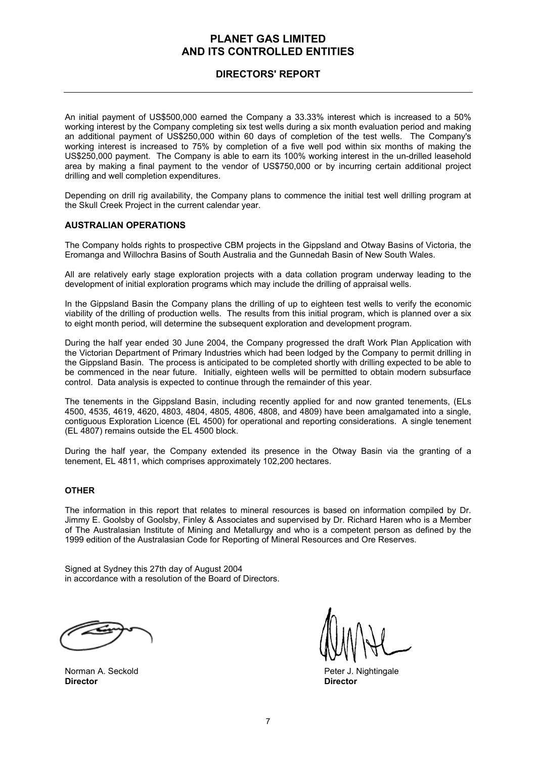## **DIRECTORS' REPORT**

An initial payment of US\$500,000 earned the Company a 33.33% interest which is increased to a 50% working interest by the Company completing six test wells during a six month evaluation period and making an additional payment of US\$250,000 within 60 days of completion of the test wells. The Company's working interest is increased to 75% by completion of a five well pod within six months of making the US\$250,000 payment. The Company is able to earn its 100% working interest in the un-drilled leasehold area by making a final payment to the vendor of US\$750,000 or by incurring certain additional project drilling and well completion expenditures.

Depending on drill rig availability, the Company plans to commence the initial test well drilling program at the Skull Creek Project in the current calendar year.

#### **AUSTRALIAN OPERATIONS**

The Company holds rights to prospective CBM projects in the Gippsland and Otway Basins of Victoria, the Eromanga and Willochra Basins of South Australia and the Gunnedah Basin of New South Wales.

All are relatively early stage exploration projects with a data collation program underway leading to the development of initial exploration programs which may include the drilling of appraisal wells.

In the Gippsland Basin the Company plans the drilling of up to eighteen test wells to verify the economic viability of the drilling of production wells. The results from this initial program, which is planned over a six to eight month period, will determine the subsequent exploration and development program.

During the half year ended 30 June 2004, the Company progressed the draft Work Plan Application with the Victorian Department of Primary Industries which had been lodged by the Company to permit drilling in the Gippsland Basin. The process is anticipated to be completed shortly with drilling expected to be able to be commenced in the near future. Initially, eighteen wells will be permitted to obtain modern subsurface control. Data analysis is expected to continue through the remainder of this year.

The tenements in the Gippsland Basin, including recently applied for and now granted tenements, (ELs 4500, 4535, 4619, 4620, 4803, 4804, 4805, 4806, 4808, and 4809) have been amalgamated into a single, contiguous Exploration Licence (EL 4500) for operational and reporting considerations. A single tenement (EL 4807) remains outside the EL 4500 block.

During the half year, the Company extended its presence in the Otway Basin via the granting of a tenement, EL 4811, which comprises approximately 102,200 hectares.

#### **OTHER**

The information in this report that relates to mineral resources is based on information compiled by Dr. Jimmy E. Goolsby of Goolsby, Finley & Associates and supervised by Dr. Richard Haren who is a Member of The Australasian Institute of Mining and Metallurgy and who is a competent person as defined by the 1999 edition of the Australasian Code for Reporting of Mineral Resources and Ore Reserves.

Signed at Sydney this 27th day of August 2004 in accordance with a resolution of the Board of Directors.

**Director Director** 

Norman A. Seckold **Peter J. Nightingale**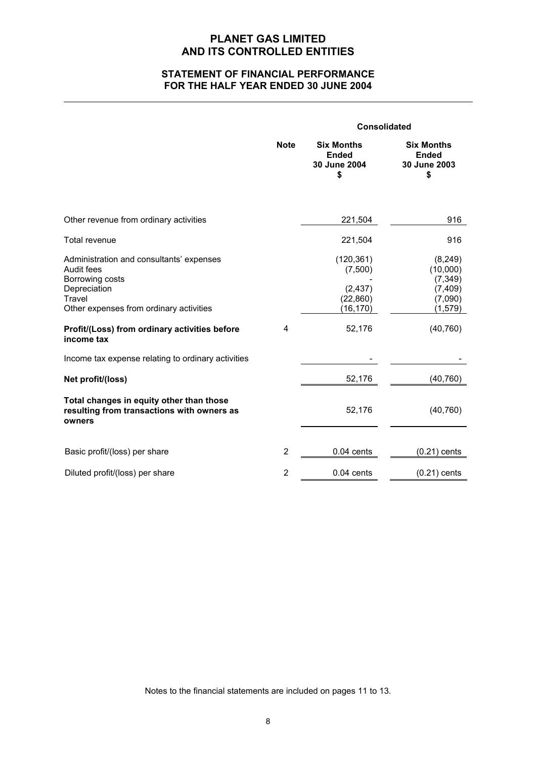## **STATEMENT OF FINANCIAL PERFORMANCE FOR THE HALF YEAR ENDED 30 JUNE 2004**

|                                                                                                                                                                                                                                                                     |                | <b>Consolidated</b>                                                   |                                                                                  |  |
|---------------------------------------------------------------------------------------------------------------------------------------------------------------------------------------------------------------------------------------------------------------------|----------------|-----------------------------------------------------------------------|----------------------------------------------------------------------------------|--|
|                                                                                                                                                                                                                                                                     | <b>Note</b>    | <b>Six Months</b><br><b>Ended</b><br>30 June 2004<br>\$               | <b>Six Months</b><br><b>Ended</b><br>30 June 2003<br>\$                          |  |
| Other revenue from ordinary activities                                                                                                                                                                                                                              |                | 221,504                                                               | 916                                                                              |  |
| Total revenue                                                                                                                                                                                                                                                       |                | 221,504                                                               | 916                                                                              |  |
| Administration and consultants' expenses<br>Audit fees<br>Borrowing costs<br>Depreciation<br>Travel<br>Other expenses from ordinary activities<br>Profit/(Loss) from ordinary activities before<br>income tax<br>Income tax expense relating to ordinary activities | 4              | (120, 361)<br>(7,500)<br>(2, 437)<br>(22, 860)<br>(16, 170)<br>52,176 | (8, 249)<br>(10,000)<br>(7, 349)<br>(7, 409)<br>(7,090)<br>(1, 579)<br>(40, 760) |  |
| Net profit/(loss)                                                                                                                                                                                                                                                   |                | 52,176                                                                | (40, 760)                                                                        |  |
| Total changes in equity other than those<br>resulting from transactions with owners as<br>owners                                                                                                                                                                    |                | 52,176                                                                | (40, 760)                                                                        |  |
| Basic profit/(loss) per share                                                                                                                                                                                                                                       | $\overline{2}$ | $0.04$ cents                                                          | $(0.21)$ cents                                                                   |  |
| Diluted profit/(loss) per share                                                                                                                                                                                                                                     | $\overline{2}$ | $0.04$ cents                                                          | $(0.21)$ cents                                                                   |  |

Notes to the financial statements are included on pages 11 to 13.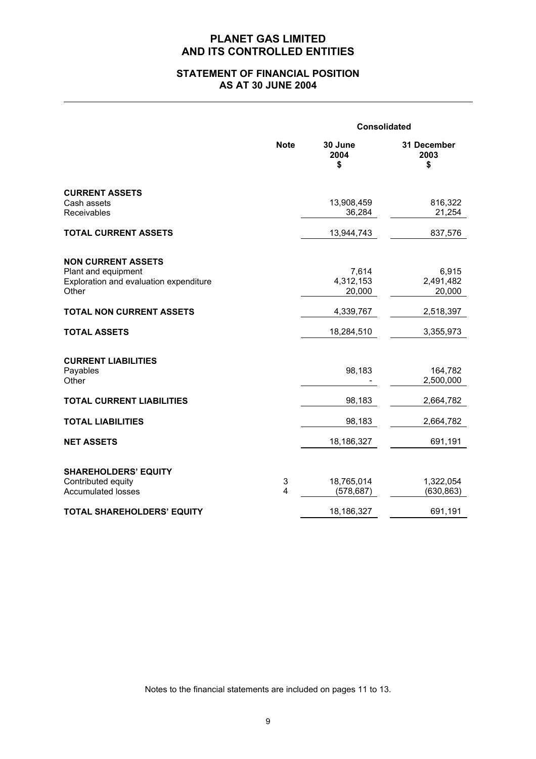## **STATEMENT OF FINANCIAL POSITION AS AT 30 JUNE 2004**

|                                                                                                     |             | <b>Consolidated</b>          |                              |  |
|-----------------------------------------------------------------------------------------------------|-------------|------------------------------|------------------------------|--|
|                                                                                                     | <b>Note</b> | 30 June<br>2004<br>\$        | 31 December<br>2003<br>\$    |  |
| <b>CURRENT ASSETS</b><br>Cash assets<br>Receivables                                                 |             | 13,908,459<br>36,284         | 816,322<br>21,254            |  |
| <b>TOTAL CURRENT ASSETS</b>                                                                         |             | 13,944,743                   | 837,576                      |  |
| <b>NON CURRENT ASSETS</b><br>Plant and equipment<br>Exploration and evaluation expenditure<br>Other |             | 7,614<br>4,312,153<br>20,000 | 6,915<br>2,491,482<br>20,000 |  |
| <b>TOTAL NON CURRENT ASSETS</b>                                                                     |             | 4,339,767                    | 2,518,397                    |  |
| <b>TOTAL ASSETS</b>                                                                                 |             | 18,284,510                   | 3,355,973                    |  |
| <b>CURRENT LIABILITIES</b><br>Payables<br>Other                                                     |             | 98,183                       | 164,782<br>2,500,000         |  |
| <b>TOTAL CURRENT LIABILITIES</b>                                                                    |             | 98,183                       | 2,664,782                    |  |
| <b>TOTAL LIABILITIES</b>                                                                            |             | 98,183                       | 2,664,782                    |  |
| <b>NET ASSETS</b>                                                                                   |             | 18,186,327                   | 691,191                      |  |
| <b>SHAREHOLDERS' EQUITY</b><br>Contributed equity<br><b>Accumulated losses</b>                      | 3<br>4      | 18,765,014<br>(578, 687)     | 1,322,054<br>(630, 863)      |  |
| <b>TOTAL SHAREHOLDERS' EQUITY</b>                                                                   |             | 18,186,327                   | 691,191                      |  |

Notes to the financial statements are included on pages 11 to 13.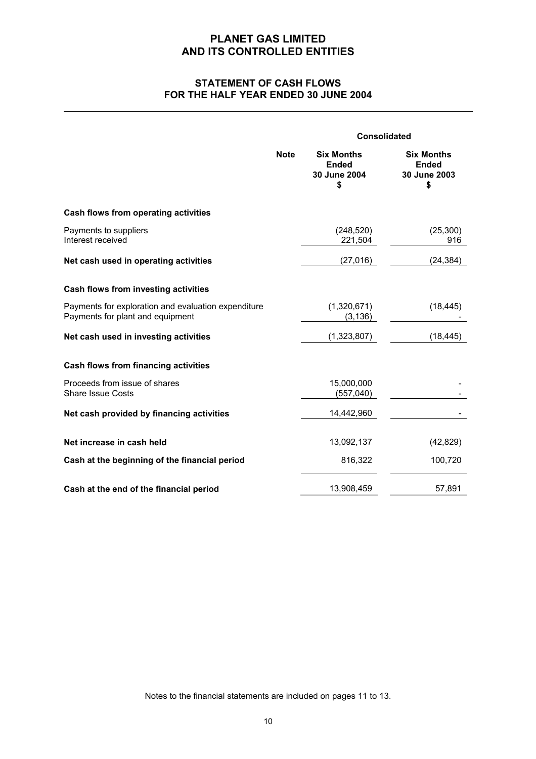## **STATEMENT OF CASH FLOWS FOR THE HALF YEAR ENDED 30 JUNE 2004**

|                                                                                         |             |                                                         | <b>Consolidated</b>                                     |  |
|-----------------------------------------------------------------------------------------|-------------|---------------------------------------------------------|---------------------------------------------------------|--|
|                                                                                         | <b>Note</b> | <b>Six Months</b><br><b>Ended</b><br>30 June 2004<br>\$ | <b>Six Months</b><br><b>Ended</b><br>30 June 2003<br>\$ |  |
| Cash flows from operating activities                                                    |             |                                                         |                                                         |  |
| Payments to suppliers<br>Interest received                                              |             | (248, 520)<br>221,504                                   | (25, 300)<br>916                                        |  |
| Net cash used in operating activities                                                   |             | (27, 016)                                               | (24, 384)                                               |  |
| Cash flows from investing activities                                                    |             |                                                         |                                                         |  |
| Payments for exploration and evaluation expenditure<br>Payments for plant and equipment |             | (1,320,671)<br>(3, 136)                                 | (18, 445)                                               |  |
| Net cash used in investing activities                                                   |             | (1,323,807)                                             | (18, 445)                                               |  |
| Cash flows from financing activities                                                    |             |                                                         |                                                         |  |
| Proceeds from issue of shares<br><b>Share Issue Costs</b>                               |             | 15,000,000<br>(557, 040)                                |                                                         |  |
| Net cash provided by financing activities                                               |             | 14,442,960                                              |                                                         |  |
| Net increase in cash held                                                               |             | 13,092,137                                              | (42, 829)                                               |  |
| Cash at the beginning of the financial period                                           |             | 816,322                                                 | 100,720                                                 |  |
| Cash at the end of the financial period                                                 |             | 13,908,459                                              | 57,891                                                  |  |

Notes to the financial statements are included on pages 11 to 13.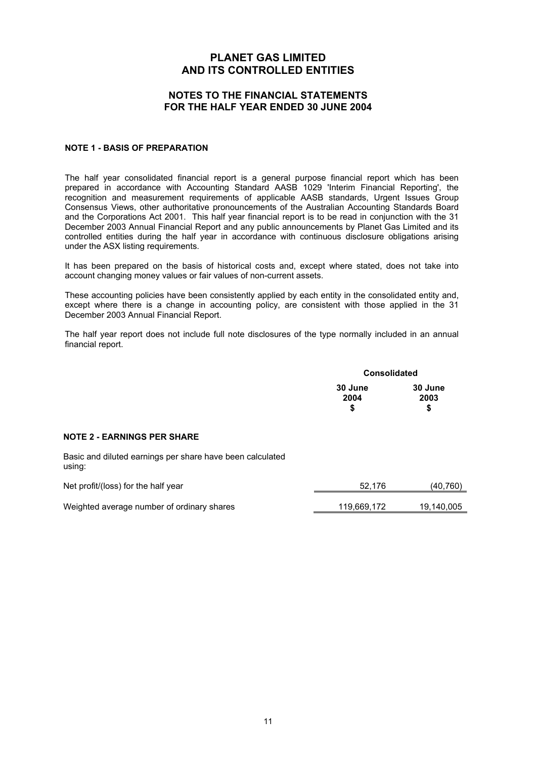#### **NOTES TO THE FINANCIAL STATEMENTS FOR THE HALF YEAR ENDED 30 JUNE 2004**

#### **NOTE 1 - BASIS OF PREPARATION**

The half year consolidated financial report is a general purpose financial report which has been prepared in accordance with Accounting Standard AASB 1029 'Interim Financial Reporting', the recognition and measurement requirements of applicable AASB standards, Urgent Issues Group Consensus Views, other authoritative pronouncements of the Australian Accounting Standards Board and the Corporations Act 2001. This half year financial report is to be read in conjunction with the 31 December 2003 Annual Financial Report and any public announcements by Planet Gas Limited and its controlled entities during the half year in accordance with continuous disclosure obligations arising under the ASX listing requirements.

It has been prepared on the basis of historical costs and, except where stated, does not take into account changing money values or fair values of non-current assets.

These accounting policies have been consistently applied by each entity in the consolidated entity and, except where there is a change in accounting policy, are consistent with those applied in the 31 December 2003 Annual Financial Report.

The half year report does not include full note disclosures of the type normally included in an annual financial report.

|                       | <b>Consolidated</b>   |  |
|-----------------------|-----------------------|--|
| 30 June<br>2004<br>\$ | 30 June<br>2003<br>\$ |  |
|                       |                       |  |

#### **NOTE 2 - EARNINGS PER SHARE**

Basic and diluted earnings per share have been calculated using:

| Net profit/(loss) for the half year        | 52.176      | (40,760)   |
|--------------------------------------------|-------------|------------|
| Weighted average number of ordinary shares | 119.669.172 | 19,140,005 |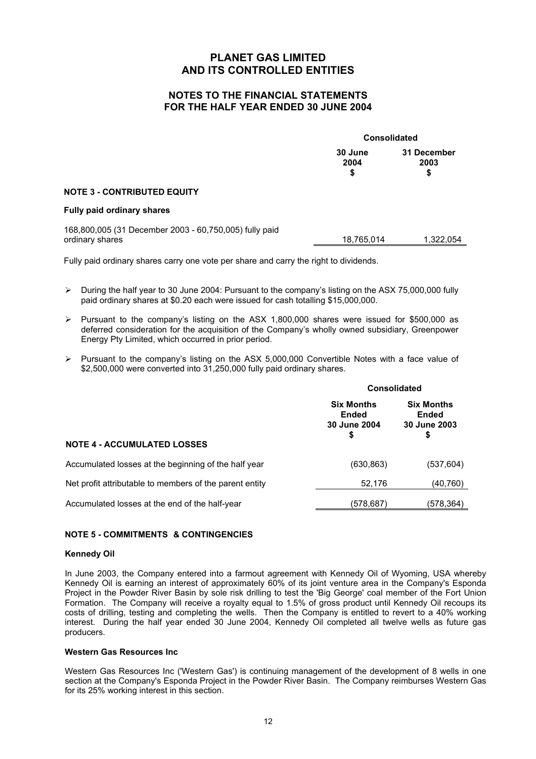## **NOTES TO THE FINANCIAL STATEMENTS FOR THE HALF YEAR ENDED 30 JUNE 2004**

|                                                                           | <b>Consolidated</b>  |                           |
|---------------------------------------------------------------------------|----------------------|---------------------------|
|                                                                           | 30 June<br>2004<br>S | 31 December<br>2003<br>\$ |
| <b>NOTE 3 - CONTRIBUTED EQUITY</b>                                        |                      |                           |
| Fully paid ordinary shares                                                |                      |                           |
| 168,800,005 (31 December 2003 - 60,750,005) fully paid<br>ordinary shares | 18,765,014           | 1,322,054                 |

Fully paid ordinary shares carry one vote per share and carry the right to dividends.

- ¾ During the half year to 30 June 2004: Pursuant to the company's listing on the ASX 75,000,000 fully paid ordinary shares at \$0.20 each were issued for cash totalling \$15,000,000.
- ¾ Pursuant to the company's listing on the ASX 1,800,000 shares were issued for \$500,000 as deferred consideration for the acquisition of the Company's wholly owned subsidiary, Greenpower Energy Pty Limited, which occurred in prior period.
- ¾ Pursuant to the company's listing on the ASX 5,000,000 Convertible Notes with a face value of \$2,500,000 were converted into 31,250,000 fully paid ordinary shares.

|                                                         | <b>Consolidated</b>                                     |                                                         |
|---------------------------------------------------------|---------------------------------------------------------|---------------------------------------------------------|
|                                                         | <b>Six Months</b><br><b>Ended</b><br>30 June 2004<br>\$ | <b>Six Months</b><br><b>Ended</b><br>30 June 2003<br>\$ |
| <b>NOTE 4 - ACCUMULATED LOSSES</b>                      |                                                         |                                                         |
| Accumulated losses at the beginning of the half year    | (630, 863)                                              | (537,604)                                               |
| Net profit attributable to members of the parent entity | 52,176                                                  | (40,760)                                                |
| Accumulated losses at the end of the half-year          | (578, 687)                                              | (578,364)                                               |

#### **NOTE 5 - COMMITMENTS & CONTINGENCIES**

#### **Kennedy Oil**

In June 2003, the Company entered into a farmout agreement with Kennedy Oil of Wyoming, USA whereby Kennedy Oil is earning an interest of approximately 60% of its joint venture area in the Company's Esponda Project in the Powder River Basin by sole risk drilling to test the 'Big George' coal member of the Fort Union Formation. The Company will receive a royalty equal to 1.5% of gross product until Kennedy Oil recoups its costs of drilling, testing and completing the wells. Then the Company is entitled to revert to a 40% working interest. During the half year ended 30 June 2004, Kennedy Oil completed all twelve wells as future gas producers.

#### **Western Gas Resources Inc**

Western Gas Resources Inc ('Western Gas') is continuing management of the development of 8 wells in one section at the Company's Esponda Project in the Powder River Basin. The Company reimburses Western Gas for its 25% working interest in this section.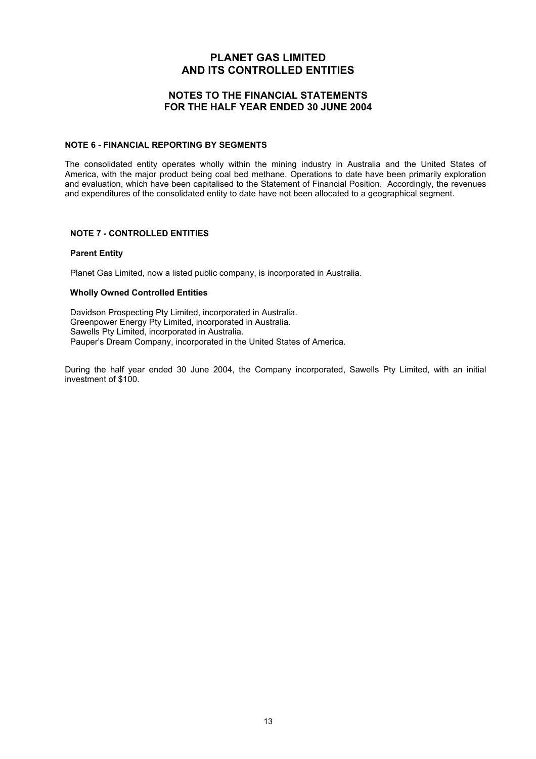#### **NOTES TO THE FINANCIAL STATEMENTS FOR THE HALF YEAR ENDED 30 JUNE 2004**

#### **NOTE 6 - FINANCIAL REPORTING BY SEGMENTS**

The consolidated entity operates wholly within the mining industry in Australia and the United States of America, with the major product being coal bed methane. Operations to date have been primarily exploration and evaluation, which have been capitalised to the Statement of Financial Position. Accordingly, the revenues and expenditures of the consolidated entity to date have not been allocated to a geographical segment.

#### **NOTE 7 - CONTROLLED ENTITIES**

#### **Parent Entity**

Planet Gas Limited, now a listed public company, is incorporated in Australia.

#### **Wholly Owned Controlled Entities**

Davidson Prospecting Pty Limited, incorporated in Australia. Greenpower Energy Pty Limited, incorporated in Australia. Sawells Pty Limited, incorporated in Australia. Pauper's Dream Company, incorporated in the United States of America.

During the half year ended 30 June 2004, the Company incorporated, Sawells Pty Limited, with an initial investment of \$100.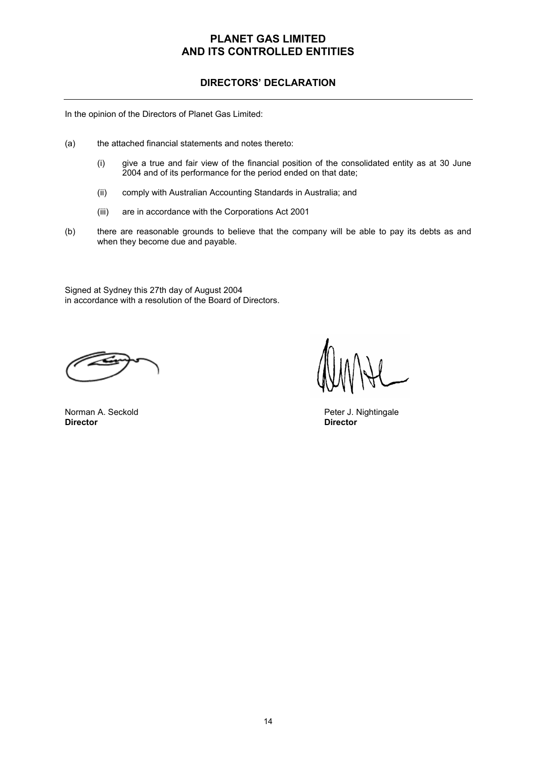## **DIRECTORS' DECLARATION**

In the opinion of the Directors of Planet Gas Limited:

- (a) the attached financial statements and notes thereto:
	- (i) give a true and fair view of the financial position of the consolidated entity as at 30 June 2004 and of its performance for the period ended on that date;
	- (ii) comply with Australian Accounting Standards in Australia; and
	- (iii) are in accordance with the Corporations Act 2001
- (b) there are reasonable grounds to believe that the company will be able to pay its debts as and when they become due and payable.

Signed at Sydney this 27th day of August 2004 in accordance with a resolution of the Board of Directors.

Norman A. Seckold **Peter J. Nightingale**<br> **Director Director** 

**Director Director**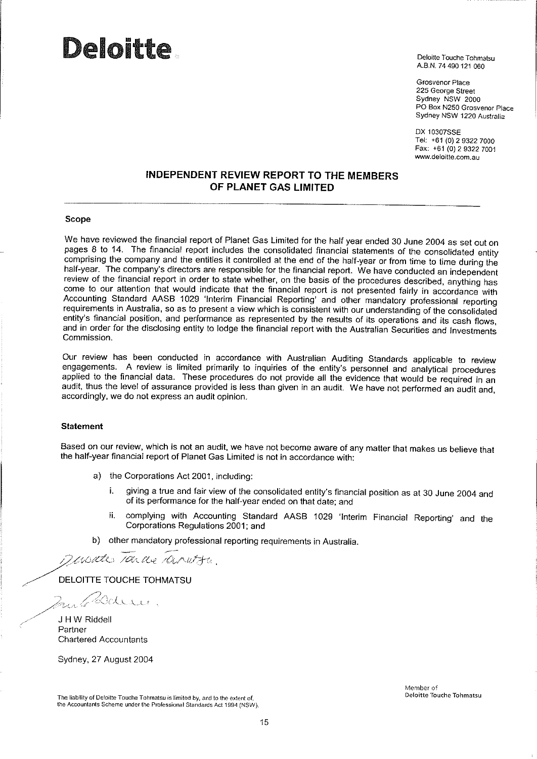# **Deloitte.**

Deloitte Touche Tohmatsu A.B.N. 74 490 121 060

Grosvenor Place 225 George Street Sydney NSW 2000 PO Box N250 Grosvenor Place Sydney NSW 1220 Australia

DX 10307SSE Tel: +61 (0) 2 9322 7000 Fax: +61 (0) 2 9322 7001 www.deloitte.com.au

## **INDEPENDENT REVIEW REPORT TO THE MEMBERS** OF PLANET GAS LIMITED

#### **Scope**

We have reviewed the financial report of Planet Gas Limited for the half year ended 30 June 2004 as set out on pages 8 to 14. The financial report includes the consolidated financial statements of the consolidated entity comprising the company and the entities it controlled at the end of the half-year or from time to time during the half-year. The company's directors are responsible for the financial report. We have conducted an independent review of the financial report in order to state whether, on the basis of the procedures described, anything has come to our attention that would indicate that the financial report is not presented fairly in accordance with Accounting Standard AASB 1029 'Interim Financial Reporting' and other mandatory professional reporting requirements in Australia, so as to present a view which is consistent with our understanding of the consolidated entity's financial position, and performance as represented by the results of its operations and its cash flows. and in order for the disclosing entity to lodge the financial report with the Australian Securities and Investments Commission.

Our review has been conducted in accordance with Australian Auditing Standards applicable to review engagements. A review is limited primarily to inquiries of the entity's personnel and analytical procedures applied to the financial data. These procedures do not provide all the evidence that would be required in an audit, thus the level of assurance provided is less than given in an audit. We have not performed an audit and, accordingly, we do not express an audit opinion.

#### **Statement**

Based on our review, which is not an audit, we have not become aware of any matter that makes us believe that the half-year financial report of Planet Gas Limited is not in accordance with:

- a) the Corporations Act 2001, including:
	- giving a true and fair view of the consolidated entity's financial position as at 30 June 2004 and i. of its performance for the half-year ended on that date; and
	- complying with Accounting Standard AASB 1029 'Interim Financial Reporting' and the ij. Corporations Regulations 2001; and
- b) other mandatory professional reporting requirements in Australia.

Devente sance caratta.

DELOITTE TOUCHE TOHMATSU

maridan.

J H W Riddell Partner **Chartered Accountants** 

Sydney, 27 August 2004

The liability of Defoitte Touche Tohmatsu is limited by, and to the extent of, the Accountants Scheme under the Professional Standards Act 1994 (NSW). Member of **Deloitte Touche Tohmatsu**